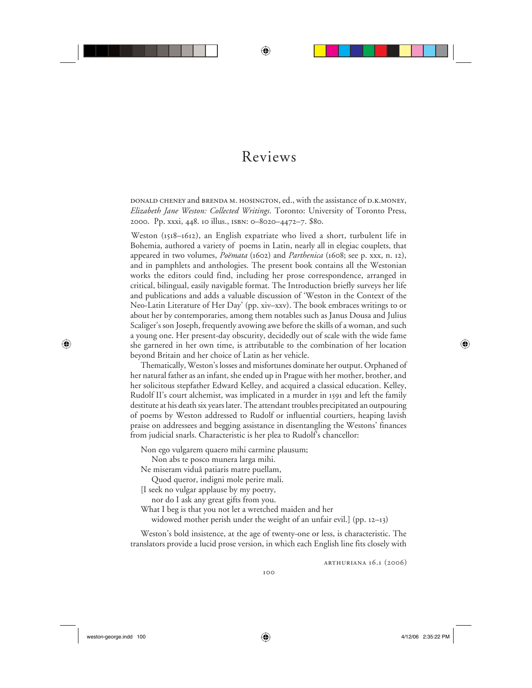## Reviews

⊕

donald cheney and brenda m. hosington, ed., with the assistance of d.k.money, *Elizabeth Jane Weston: Collected Writings*. Toronto: University of Toronto Press, 2000. Pp. xxxi, 448. 10 illus., isbn: 0–8020–4472–7. \$80.

Weston (1518–1612), an English expatriate who lived a short, turbulent life in Bohemia, authored a variety of poems in Latin, nearly all in elegiac couplets, that appeared in two volumes, *Poëmata* (1602) and *Parthenica* (1608; see p. xxx, n. 12), and in pamphlets and anthologies. The present book contains all the Westonian works the editors could find, including her prose correspondence, arranged in critical, bilingual, easily navigable format. The Introduction briefly surveys her life and publications and adds a valuable discussion of 'Weston in the Context of the Neo-Latin Literature of Her Day' (pp. xiv–xxv). The book embraces writings to or about her by contemporaries, among them notables such as Janus Dousa and Julius Scaliger's son Joseph, frequently avowing awe before the skills of a woman, and such a young one. Her present-day obscurity, decidedly out of scale with the wide fame she garnered in her own time, is attributable to the combination of her location beyond Britain and her choice of Latin as her vehicle.

Thematically, Weston's losses and misfortunes dominate her output. Orphaned of her natural father as an infant, she ended up in Prague with her mother, brother, and her solicitous stepfather Edward Kelley, and acquired a classical education. Kelley, Rudolf II's court alchemist, was implicated in a murder in 1591 and left the family destitute at his death six years later. The attendant troubles precipitated an outpouring of poems by Weston addressed to Rudolf or influential courtiers, heaping lavish praise on addressees and begging assistance in disentangling the Westons' finances from judicial snarls. Characteristic is her plea to Rudolf's chancellor:

Non ego vulgarem quaero mihi carmine plausum;

Non abs te posco munera larga mihi.

Ne miseram viduâ patiaris matre puellam,

Quod queror, indigni mole perire mali.

[I seek no vulgar applause by my poetry,

nor do I ask any great gifts from you.

What I beg is that you not let a wretched maiden and her

widowed mother perish under the weight of an unfair evil.] (pp. 12–13)

Weston's bold insistence, at the age of twenty-one or less, is characteristic. The translators provide a lucid prose version, in which each English line fits closely with

arthuriana 16.1 (2006)

 $\bigoplus$ 

⊕